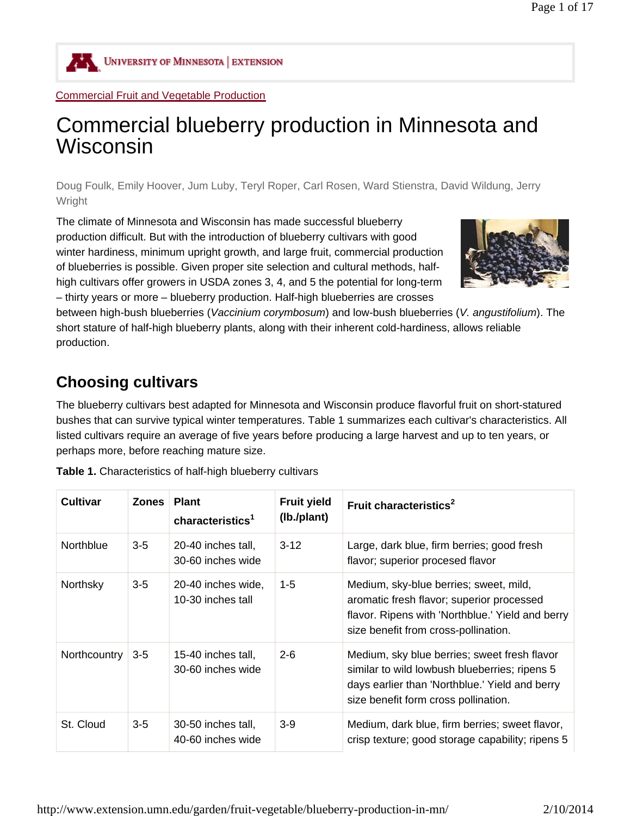

UNIVERSITY OF MINNESOTA EXTENSION

#### Commercial Fruit and Vegetable Production

# Commercial blueberry production in Minnesota and Wisconsin

Doug Foulk, Emily Hoover, Jum Luby, Teryl Roper, Carl Rosen, Ward Stienstra, David Wildung, Jerry **Wright** 

The climate of Minnesota and Wisconsin has made successful blueberry production difficult. But with the introduction of blueberry cultivars with good winter hardiness, minimum upright growth, and large fruit, commercial production of blueberries is possible. Given proper site selection and cultural methods, halfhigh cultivars offer growers in USDA zones 3, 4, and 5 the potential for long-term – thirty years or more – blueberry production. Half-high blueberries are crosses



between high-bush blueberries (*Vaccinium corymbosum*) and low-bush blueberries (*V. angustifolium*). The short stature of half-high blueberry plants, along with their inherent cold-hardiness, allows reliable production.

# **Choosing cultivars**

The blueberry cultivars best adapted for Minnesota and Wisconsin produce flavorful fruit on short-statured bushes that can survive typical winter temperatures. Table 1 summarizes each cultivar's characteristics. All listed cultivars require an average of five years before producing a large harvest and up to ten years, or perhaps more, before reaching mature size.

| <b>Cultivar</b>  | <b>Zones</b> | <b>Plant</b><br>characteristics <sup>1</sup> | <b>Fruit yield</b><br>(lb./plant) | Fruit characteristics <sup>2</sup>                                                                                                                                                      |
|------------------|--------------|----------------------------------------------|-----------------------------------|-----------------------------------------------------------------------------------------------------------------------------------------------------------------------------------------|
| <b>Northblue</b> | $3-5$        | 20-40 inches tall.<br>30-60 inches wide      | $3 - 12$                          | Large, dark blue, firm berries; good fresh<br>flavor; superior procesed flavor                                                                                                          |
| Northsky         | $3 - 5$      | 20-40 inches wide,<br>10-30 inches tall      | $1 - 5$                           | Medium, sky-blue berries; sweet, mild,<br>aromatic fresh flavor; superior processed<br>flavor. Ripens with 'Northblue.' Yield and berry<br>size benefit from cross-pollination.         |
| Northcountry     | $3-5$        | 15-40 inches tall,<br>30-60 inches wide      | $2 - 6$                           | Medium, sky blue berries; sweet fresh flavor<br>similar to wild lowbush blueberries; ripens 5<br>days earlier than 'Northblue.' Yield and berry<br>size benefit form cross pollination. |
| St. Cloud        | $3-5$        | 30-50 inches tall,<br>40-60 inches wide      | $3-9$                             | Medium, dark blue, firm berries; sweet flavor,<br>crisp texture; good storage capability; ripens 5                                                                                      |

**Table 1.** Characteristics of half-high blueberry cultivars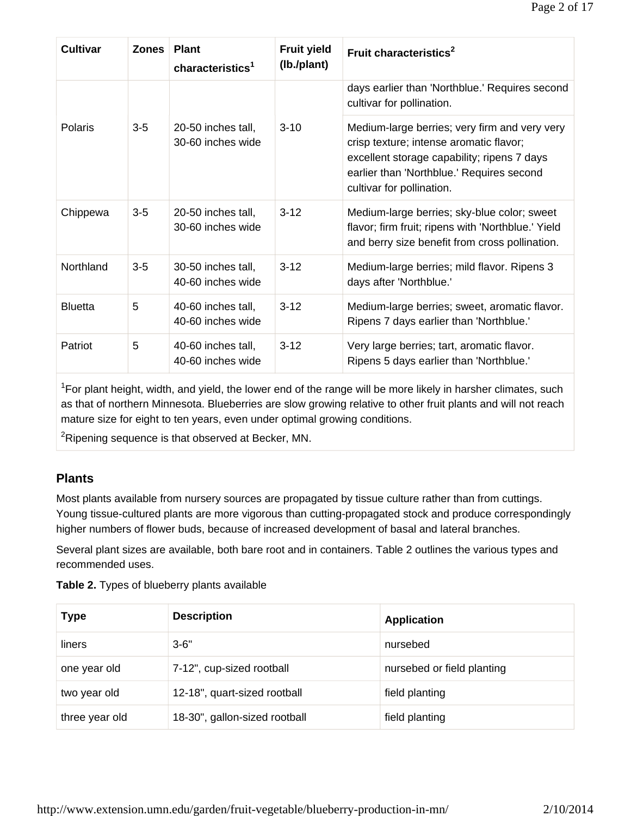| <b>Cultivar</b> | <b>Zones</b> | <b>Plant</b><br>characteristics <sup>1</sup> | <b>Fruit yield</b><br>(lb./plant) | Fruit characteristics <sup>2</sup>                                                                                                                                                                                |
|-----------------|--------------|----------------------------------------------|-----------------------------------|-------------------------------------------------------------------------------------------------------------------------------------------------------------------------------------------------------------------|
|                 |              |                                              |                                   | days earlier than 'Northblue.' Requires second<br>cultivar for pollination.                                                                                                                                       |
| Polaris         | $3-5$        | 20-50 inches tall,<br>30-60 inches wide      | $3 - 10$                          | Medium-large berries; very firm and very very<br>crisp texture; intense aromatic flavor;<br>excellent storage capability; ripens 7 days<br>earlier than 'Northblue.' Requires second<br>cultivar for pollination. |
| Chippewa        | $3-5$        | 20-50 inches tall,<br>30-60 inches wide      | $3 - 12$                          | Medium-large berries; sky-blue color; sweet<br>flavor; firm fruit; ripens with 'Northblue.' Yield<br>and berry size benefit from cross pollination.                                                               |
| Northland       | $3-5$        | 30-50 inches tall,<br>40-60 inches wide      | $3 - 12$                          | Medium-large berries; mild flavor. Ripens 3<br>days after 'Northblue.'                                                                                                                                            |
| <b>Bluetta</b>  | 5            | 40-60 inches tall,<br>40-60 inches wide      | $3 - 12$                          | Medium-large berries; sweet, aromatic flavor.<br>Ripens 7 days earlier than 'Northblue.'                                                                                                                          |
| Patriot         | 5            | 40-60 inches tall,<br>40-60 inches wide      | $3 - 12$                          | Very large berries; tart, aromatic flavor.<br>Ripens 5 days earlier than 'Northblue.'                                                                                                                             |

<sup>1</sup>For plant height, width, and yield, the lower end of the range will be more likely in harsher climates, such as that of northern Minnesota. Blueberries are slow growing relative to other fruit plants and will not reach mature size for eight to ten years, even under optimal growing conditions.

 ${}^{2}$ Ripening sequence is that observed at Becker, MN.

### **Plants**

Most plants available from nursery sources are propagated by tissue culture rather than from cuttings. Young tissue-cultured plants are more vigorous than cutting-propagated stock and produce correspondingly higher numbers of flower buds, because of increased development of basal and lateral branches.

Several plant sizes are available, both bare root and in containers. Table 2 outlines the various types and recommended uses.

| <b>Type</b>    | <b>Description</b>            | <b>Application</b>         |
|----------------|-------------------------------|----------------------------|
| liners         | $3 - 6"$                      | nursebed                   |
| one year old   | 7-12", cup-sized rootball     | nursebed or field planting |
| two year old   | 12-18", quart-sized rootball  | field planting             |
| three year old | 18-30", gallon-sized rootball | field planting             |

**Table 2.** Types of blueberry plants available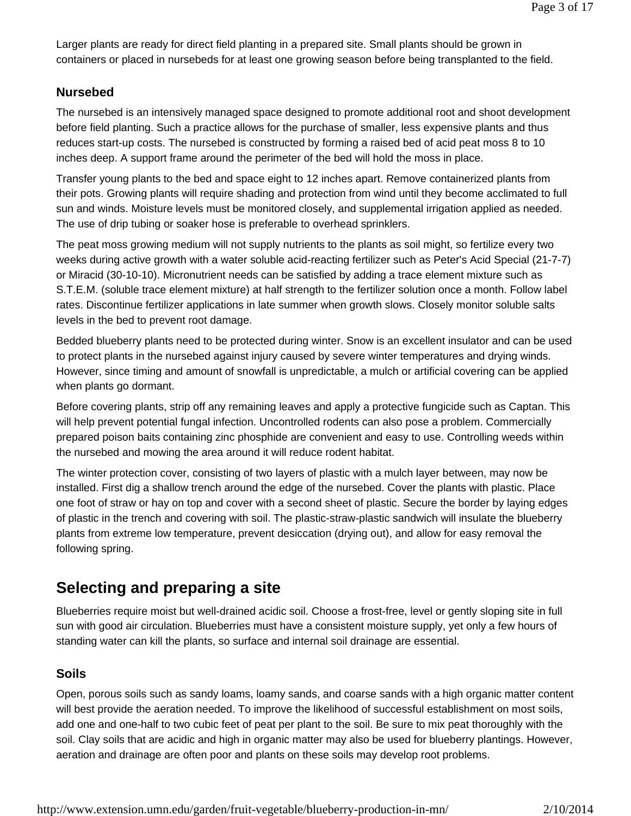Larger plants are ready for direct field planting in a prepared site. Small plants should be grown in containers or placed in nursebeds for at least one growing season before being transplanted to the field.

### **Nursebed**

The nursebed is an intensively managed space designed to promote additional root and shoot development before field planting. Such a practice allows for the purchase of smaller, less expensive plants and thus reduces start-up costs. The nursebed is constructed by forming a raised bed of acid peat moss 8 to 10 inches deep. A support frame around the perimeter of the bed will hold the moss in place.

Transfer young plants to the bed and space eight to 12 inches apart. Remove containerized plants from their pots. Growing plants will require shading and protection from wind until they become acclimated to full sun and winds. Moisture levels must be monitored closely, and supplemental irrigation applied as needed. The use of drip tubing or soaker hose is preferable to overhead sprinklers.

The peat moss growing medium will not supply nutrients to the plants as soil might, so fertilize every two weeks during active growth with a water soluble acid-reacting fertilizer such as Peter's Acid Special (21-7-7) or Miracid (30-10-10). Micronutrient needs can be satisfied by adding a trace element mixture such as S.T.E.M. (soluble trace element mixture) at half strength to the fertilizer solution once a month. Follow label rates. Discontinue fertilizer applications in late summer when growth slows. Closely monitor soluble salts levels in the bed to prevent root damage.

Bedded blueberry plants need to be protected during winter. Snow is an excellent insulator and can be used to protect plants in the nursebed against injury caused by severe winter temperatures and drying winds. However, since timing and amount of snowfall is unpredictable, a mulch or artificial covering can be applied when plants go dormant.

Before covering plants, strip off any remaining leaves and apply a protective fungicide such as Captan. This will help prevent potential fungal infection. Uncontrolled rodents can also pose a problem. Commercially prepared poison baits containing zinc phosphide are convenient and easy to use. Controlling weeds within the nursebed and mowing the area around it will reduce rodent habitat.

The winter protection cover, consisting of two layers of plastic with a mulch layer between, may now be installed. First dig a shallow trench around the edge of the nursebed. Cover the plants with plastic. Place one foot of straw or hay on top and cover with a second sheet of plastic. Secure the border by laying edges of plastic in the trench and covering with soil. The plastic-straw-plastic sandwich will insulate the blueberry plants from extreme low temperature, prevent desiccation (drying out), and allow for easy removal the following spring.

# **Selecting and preparing a site**

Blueberries require moist but well-drained acidic soil. Choose a frost-free, level or gently sloping site in full sun with good air circulation. Blueberries must have a consistent moisture supply, yet only a few hours of standing water can kill the plants, so surface and internal soil drainage are essential.

### **Soils**

Open, porous soils such as sandy loams, loamy sands, and coarse sands with a high organic matter content will best provide the aeration needed. To improve the likelihood of successful establishment on most soils, add one and one-half to two cubic feet of peat per plant to the soil. Be sure to mix peat thoroughly with the soil. Clay soils that are acidic and high in organic matter may also be used for blueberry plantings. However, aeration and drainage are often poor and plants on these soils may develop root problems.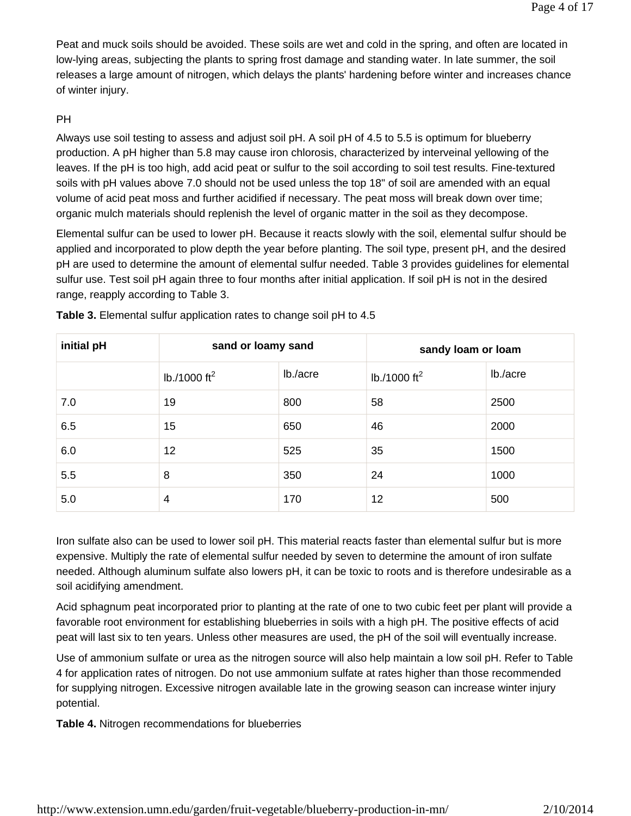Peat and muck soils should be avoided. These soils are wet and cold in the spring, and often are located in low-lying areas, subjecting the plants to spring frost damage and standing water. In late summer, the soil releases a large amount of nitrogen, which delays the plants' hardening before winter and increases chance of winter injury.

### PH

Always use soil testing to assess and adjust soil pH. A soil pH of 4.5 to 5.5 is optimum for blueberry production. A pH higher than 5.8 may cause iron chlorosis, characterized by interveinal yellowing of the leaves. If the pH is too high, add acid peat or sulfur to the soil according to soil test results. Fine-textured soils with pH values above 7.0 should not be used unless the top 18" of soil are amended with an equal volume of acid peat moss and further acidified if necessary. The peat moss will break down over time; organic mulch materials should replenish the level of organic matter in the soil as they decompose.

Elemental sulfur can be used to lower pH. Because it reacts slowly with the soil, elemental sulfur should be applied and incorporated to plow depth the year before planting. The soil type, present pH, and the desired pH are used to determine the amount of elemental sulfur needed. Table 3 provides guidelines for elemental sulfur use. Test soil pH again three to four months after initial application. If soil pH is not in the desired range, reapply according to Table 3.

| initial pH | sand or loamy sand       |          | sandy loam or loam       |          |  |
|------------|--------------------------|----------|--------------------------|----------|--|
|            | lb./1000 ft <sup>2</sup> | lb./acre | lb./1000 ft <sup>2</sup> | lb./acre |  |
| 7.0        | 19                       | 800      | 58                       | 2500     |  |
| 6.5        | 15                       | 650      | 46                       | 2000     |  |
| 6.0        | 12                       | 525      | 35                       | 1500     |  |
| 5.5        | 8                        | 350      | 24                       | 1000     |  |
| 5.0        | 4                        | 170      | 12                       | 500      |  |

**Table 3.** Elemental sulfur application rates to change soil pH to 4.5

Iron sulfate also can be used to lower soil pH. This material reacts faster than elemental sulfur but is more expensive. Multiply the rate of elemental sulfur needed by seven to determine the amount of iron sulfate needed. Although aluminum sulfate also lowers pH, it can be toxic to roots and is therefore undesirable as a soil acidifying amendment.

Acid sphagnum peat incorporated prior to planting at the rate of one to two cubic feet per plant will provide a favorable root environment for establishing blueberries in soils with a high pH. The positive effects of acid peat will last six to ten years. Unless other measures are used, the pH of the soil will eventually increase.

Use of ammonium sulfate or urea as the nitrogen source will also help maintain a low soil pH. Refer to Table 4 for application rates of nitrogen. Do not use ammonium sulfate at rates higher than those recommended for supplying nitrogen. Excessive nitrogen available late in the growing season can increase winter injury potential.

**Table 4.** Nitrogen recommendations for blueberries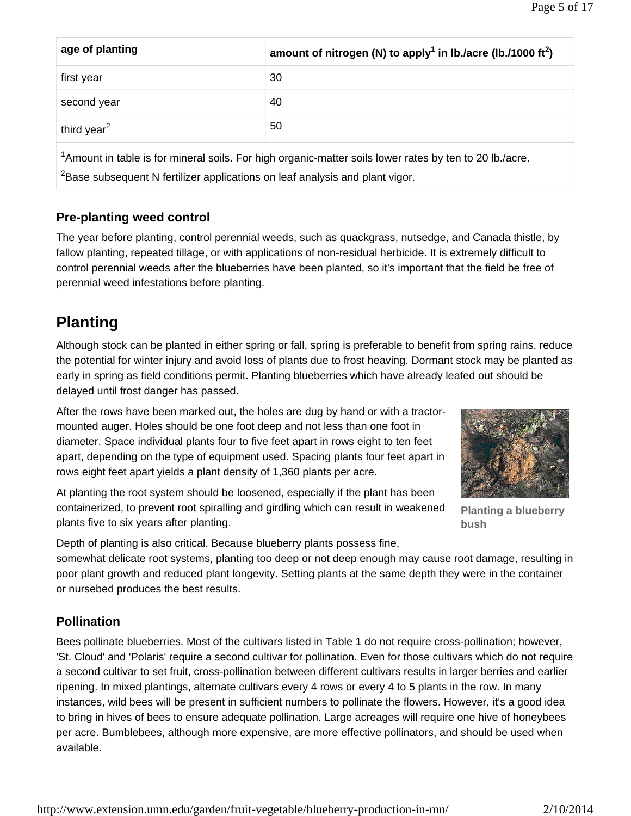| age of planting                                                                                                                                                                                                 | amount of nitrogen (N) to apply <sup>1</sup> in lb./acre (lb./1000 ft <sup>2</sup> ) |  |  |  |  |
|-----------------------------------------------------------------------------------------------------------------------------------------------------------------------------------------------------------------|--------------------------------------------------------------------------------------|--|--|--|--|
| first year                                                                                                                                                                                                      | 30                                                                                   |  |  |  |  |
| second year                                                                                                                                                                                                     | 40                                                                                   |  |  |  |  |
| third year <sup>2</sup>                                                                                                                                                                                         | 50                                                                                   |  |  |  |  |
| <sup>1</sup> Amount in table is for mineral soils. For high organic-matter soils lower rates by ten to 20 lb./acre.<br><sup>2</sup> Base subsequent N fertilizer applications on leaf analysis and plant vigor. |                                                                                      |  |  |  |  |

### **Pre-planting weed control**

The year before planting, control perennial weeds, such as quackgrass, nutsedge, and Canada thistle, by fallow planting, repeated tillage, or with applications of non-residual herbicide. It is extremely difficult to control perennial weeds after the blueberries have been planted, so it's important that the field be free of perennial weed infestations before planting.

# **Planting**

Although stock can be planted in either spring or fall, spring is preferable to benefit from spring rains, reduce the potential for winter injury and avoid loss of plants due to frost heaving. Dormant stock may be planted as early in spring as field conditions permit. Planting blueberries which have already leafed out should be delayed until frost danger has passed.

After the rows have been marked out, the holes are dug by hand or with a tractormounted auger. Holes should be one foot deep and not less than one foot in diameter. Space individual plants four to five feet apart in rows eight to ten feet apart, depending on the type of equipment used. Spacing plants four feet apart in rows eight feet apart yields a plant density of 1,360 plants per acre.

At planting the root system should be loosened, especially if the plant has been containerized, to prevent root spiralling and girdling which can result in weakened plants five to six years after planting.



**Planting a blueberry bush**

Depth of planting is also critical. Because blueberry plants possess fine,

somewhat delicate root systems, planting too deep or not deep enough may cause root damage, resulting in poor plant growth and reduced plant longevity. Setting plants at the same depth they were in the container or nursebed produces the best results.

### **Pollination**

Bees pollinate blueberries. Most of the cultivars listed in Table 1 do not require cross-pollination; however, 'St. Cloud' and 'Polaris' require a second cultivar for pollination. Even for those cultivars which do not require a second cultivar to set fruit, cross-pollination between different cultivars results in larger berries and earlier ripening. In mixed plantings, alternate cultivars every 4 rows or every 4 to 5 plants in the row. In many instances, wild bees will be present in sufficient numbers to pollinate the flowers. However, it's a good idea to bring in hives of bees to ensure adequate pollination. Large acreages will require one hive of honeybees per acre. Bumblebees, although more expensive, are more effective pollinators, and should be used when available.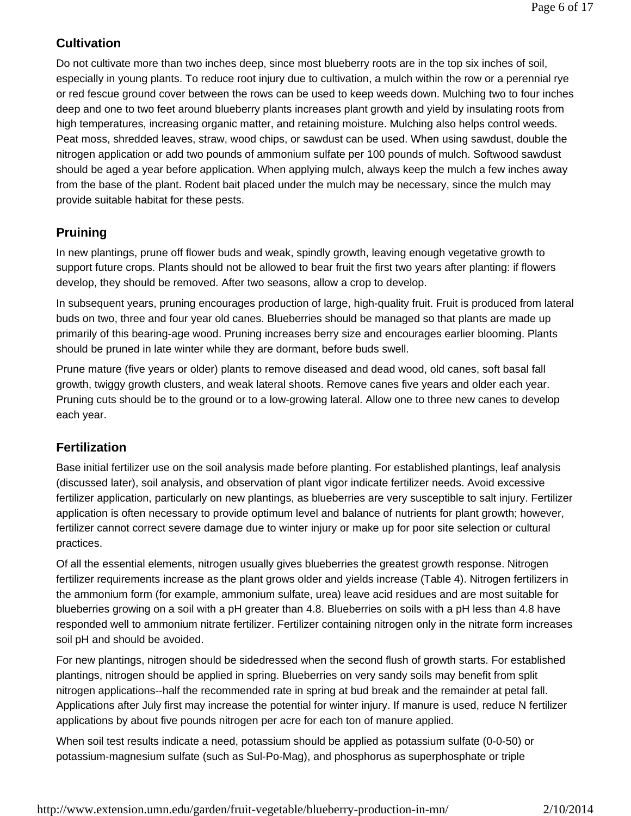### **Cultivation**

Do not cultivate more than two inches deep, since most blueberry roots are in the top six inches of soil, especially in young plants. To reduce root injury due to cultivation, a mulch within the row or a perennial rye or red fescue ground cover between the rows can be used to keep weeds down. Mulching two to four inches deep and one to two feet around blueberry plants increases plant growth and yield by insulating roots from high temperatures, increasing organic matter, and retaining moisture. Mulching also helps control weeds. Peat moss, shredded leaves, straw, wood chips, or sawdust can be used. When using sawdust, double the nitrogen application or add two pounds of ammonium sulfate per 100 pounds of mulch. Softwood sawdust should be aged a year before application. When applying mulch, always keep the mulch a few inches away from the base of the plant. Rodent bait placed under the mulch may be necessary, since the mulch may provide suitable habitat for these pests.

### **Pruining**

In new plantings, prune off flower buds and weak, spindly growth, leaving enough vegetative growth to support future crops. Plants should not be allowed to bear fruit the first two years after planting: if flowers develop, they should be removed. After two seasons, allow a crop to develop.

In subsequent years, pruning encourages production of large, high-quality fruit. Fruit is produced from lateral buds on two, three and four year old canes. Blueberries should be managed so that plants are made up primarily of this bearing-age wood. Pruning increases berry size and encourages earlier blooming. Plants should be pruned in late winter while they are dormant, before buds swell.

Prune mature (five years or older) plants to remove diseased and dead wood, old canes, soft basal fall growth, twiggy growth clusters, and weak lateral shoots. Remove canes five years and older each year. Pruning cuts should be to the ground or to a low-growing lateral. Allow one to three new canes to develop each year.

### **Fertilization**

Base initial fertilizer use on the soil analysis made before planting. For established plantings, leaf analysis (discussed later), soil analysis, and observation of plant vigor indicate fertilizer needs. Avoid excessive fertilizer application, particularly on new plantings, as blueberries are very susceptible to salt injury. Fertilizer application is often necessary to provide optimum level and balance of nutrients for plant growth; however, fertilizer cannot correct severe damage due to winter injury or make up for poor site selection or cultural practices.

Of all the essential elements, nitrogen usually gives blueberries the greatest growth response. Nitrogen fertilizer requirements increase as the plant grows older and yields increase (Table 4). Nitrogen fertilizers in the ammonium form (for example, ammonium sulfate, urea) leave acid residues and are most suitable for blueberries growing on a soil with a pH greater than 4.8. Blueberries on soils with a pH less than 4.8 have responded well to ammonium nitrate fertilizer. Fertilizer containing nitrogen only in the nitrate form increases soil pH and should be avoided.

For new plantings, nitrogen should be sidedressed when the second flush of growth starts. For established plantings, nitrogen should be applied in spring. Blueberries on very sandy soils may benefit from split nitrogen applications--half the recommended rate in spring at bud break and the remainder at petal fall. Applications after July first may increase the potential for winter injury. If manure is used, reduce N fertilizer applications by about five pounds nitrogen per acre for each ton of manure applied.

When soil test results indicate a need, potassium should be applied as potassium sulfate (0-0-50) or potassium-magnesium sulfate (such as Sul-Po-Mag), and phosphorus as superphosphate or triple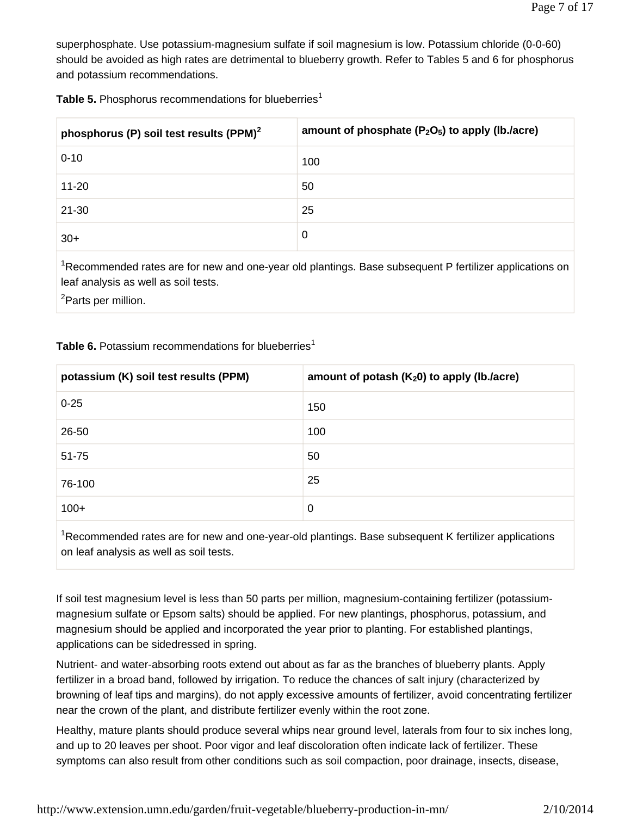superphosphate. Use potassium-magnesium sulfate if soil magnesium is low. Potassium chloride (0-0-60) should be avoided as high rates are detrimental to blueberry growth. Refer to Tables 5 and 6 for phosphorus and potassium recommendations.

| Table 5. Phosphorus recommendations for blueberries <sup>1</sup> |  |  |  |  |
|------------------------------------------------------------------|--|--|--|--|
|------------------------------------------------------------------|--|--|--|--|

| phosphorus (P) soil test results (PPM) <sup>2</sup> | amount of phosphate $(P_2O_5)$ to apply (lb./acre) |
|-----------------------------------------------------|----------------------------------------------------|
| $0 - 10$                                            | 100                                                |
| $11 - 20$                                           | 50                                                 |
| $21 - 30$                                           | 25                                                 |
| $30+$                                               | 0                                                  |

<sup>1</sup>Recommended rates are for new and one-year old plantings. Base subsequent P fertilizer applications on leaf analysis as well as soil tests.

<sup>2</sup>Parts per million.

#### **Table 6.** Potassium recommendations for blueberries<sup>1</sup>

| potassium (K) soil test results (PPM) | amount of potash $(K_2 0)$ to apply (lb./acre) |
|---------------------------------------|------------------------------------------------|
| $0 - 25$                              | 150                                            |
| 26-50                                 | 100                                            |
| $51 - 75$                             | 50                                             |
| 76-100                                | 25                                             |
| $100+$                                | 0                                              |

<sup>1</sup>Recommended rates are for new and one-year-old plantings. Base subsequent K fertilizer applications on leaf analysis as well as soil tests.

If soil test magnesium level is less than 50 parts per million, magnesium-containing fertilizer (potassiummagnesium sulfate or Epsom salts) should be applied. For new plantings, phosphorus, potassium, and magnesium should be applied and incorporated the year prior to planting. For established plantings, applications can be sidedressed in spring.

Nutrient- and water-absorbing roots extend out about as far as the branches of blueberry plants. Apply fertilizer in a broad band, followed by irrigation. To reduce the chances of salt injury (characterized by browning of leaf tips and margins), do not apply excessive amounts of fertilizer, avoid concentrating fertilizer near the crown of the plant, and distribute fertilizer evenly within the root zone.

Healthy, mature plants should produce several whips near ground level, laterals from four to six inches long, and up to 20 leaves per shoot. Poor vigor and leaf discoloration often indicate lack of fertilizer. These symptoms can also result from other conditions such as soil compaction, poor drainage, insects, disease,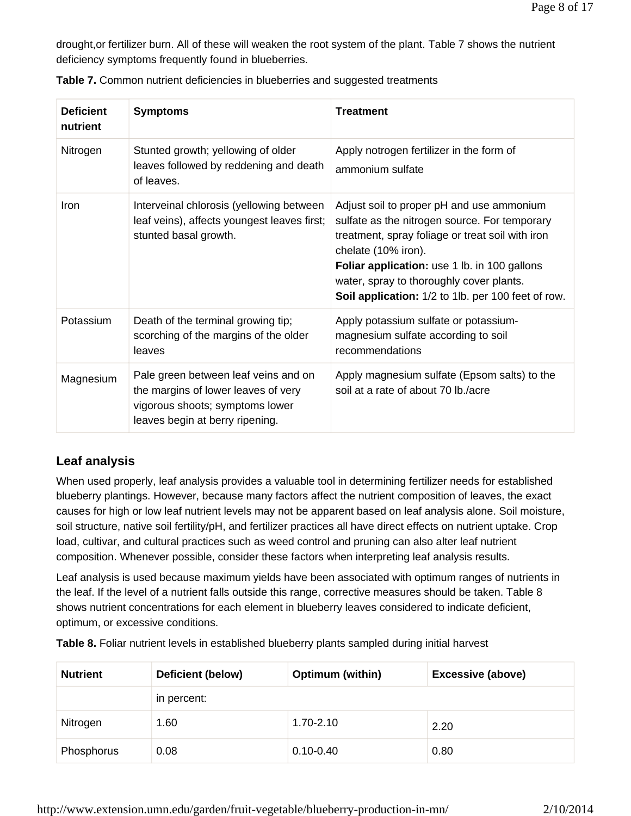drought,or fertilizer burn. All of these will weaken the root system of the plant. Table 7 shows the nutrient deficiency symptoms frequently found in blueberries.

| <b>Deficient</b><br>nutrient | <b>Symptoms</b>                                                                                                                                   | <b>Treatment</b>                                                                                                                                                                                                                                                                                                               |
|------------------------------|---------------------------------------------------------------------------------------------------------------------------------------------------|--------------------------------------------------------------------------------------------------------------------------------------------------------------------------------------------------------------------------------------------------------------------------------------------------------------------------------|
| Nitrogen                     | Stunted growth; yellowing of older<br>leaves followed by reddening and death<br>of leaves.                                                        | Apply notrogen fertilizer in the form of<br>ammonium sulfate                                                                                                                                                                                                                                                                   |
| Iron                         | Interveinal chlorosis (yellowing between<br>leaf veins), affects youngest leaves first;<br>stunted basal growth.                                  | Adjust soil to proper pH and use ammonium<br>sulfate as the nitrogen source. For temporary<br>treatment, spray foliage or treat soil with iron<br>chelate (10% iron).<br><b>Foliar application:</b> use 1 lb. in 100 gallons<br>water, spray to thoroughly cover plants.<br>Soil application: 1/2 to 1lb. per 100 feet of row. |
| Potassium                    | Death of the terminal growing tip;<br>scorching of the margins of the older<br>leaves                                                             | Apply potassium sulfate or potassium-<br>magnesium sulfate according to soil<br>recommendations                                                                                                                                                                                                                                |
| Magnesium                    | Pale green between leaf veins and on<br>the margins of lower leaves of very<br>vigorous shoots; symptoms lower<br>leaves begin at berry ripening. | Apply magnesium sulfate (Epsom salts) to the<br>soil at a rate of about 70 lb./acre                                                                                                                                                                                                                                            |

**Table 7.** Common nutrient deficiencies in blueberries and suggested treatments

# **Leaf analysis**

When used properly, leaf analysis provides a valuable tool in determining fertilizer needs for established blueberry plantings. However, because many factors affect the nutrient composition of leaves, the exact causes for high or low leaf nutrient levels may not be apparent based on leaf analysis alone. Soil moisture, soil structure, native soil fertility/pH, and fertilizer practices all have direct effects on nutrient uptake. Crop load, cultivar, and cultural practices such as weed control and pruning can also alter leaf nutrient composition. Whenever possible, consider these factors when interpreting leaf analysis results.

Leaf analysis is used because maximum yields have been associated with optimum ranges of nutrients in the leaf. If the level of a nutrient falls outside this range, corrective measures should be taken. Table 8 shows nutrient concentrations for each element in blueberry leaves considered to indicate deficient, optimum, or excessive conditions.

**Table 8.** Foliar nutrient levels in established blueberry plants sampled during initial harvest

| <b>Nutrient</b> | Deficient (below) | <b>Optimum (within)</b> | <b>Excessive (above)</b> |
|-----------------|-------------------|-------------------------|--------------------------|
|                 | in percent:       |                         |                          |
| Nitrogen        | 1.60              | $1.70 - 2.10$           | 2.20                     |
| Phosphorus      | 0.08              | $0.10 - 0.40$           | 0.80                     |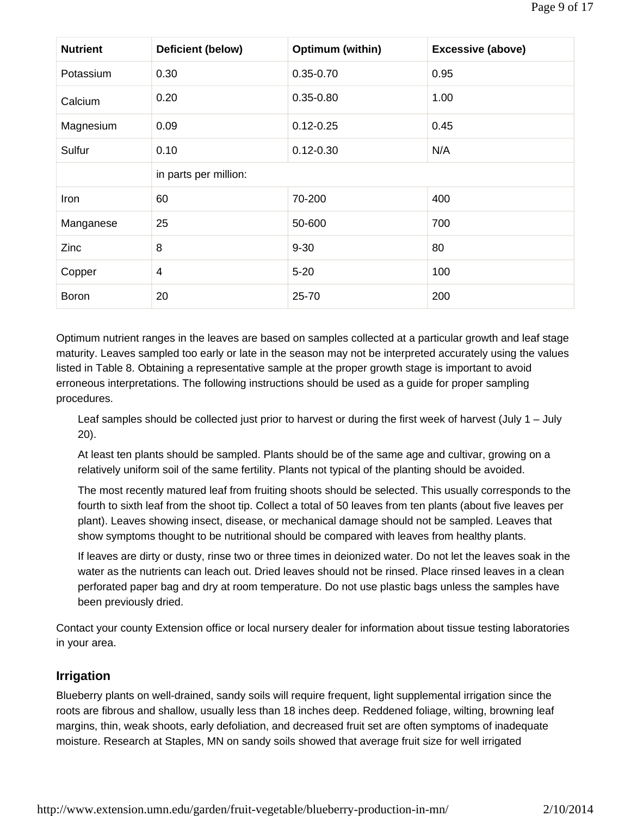| <b>Nutrient</b> | Deficient (below)     | Optimum (within) | <b>Excessive (above)</b> |  |  |  |
|-----------------|-----------------------|------------------|--------------------------|--|--|--|
| Potassium       | 0.30                  | $0.35 - 0.70$    | 0.95                     |  |  |  |
| Calcium         | 0.20                  | $0.35 - 0.80$    | 1.00                     |  |  |  |
| Magnesium       | 0.09                  | $0.12 - 0.25$    | 0.45                     |  |  |  |
| Sulfur          | 0.10                  | $0.12 - 0.30$    | N/A                      |  |  |  |
|                 | in parts per million: |                  |                          |  |  |  |
| Iron            | 60                    | 70-200           | 400                      |  |  |  |
| Manganese       | 25                    | 50-600           | 700                      |  |  |  |
| Zinc            | 8                     | $9 - 30$         | 80                       |  |  |  |
| Copper          | $\overline{4}$        | $5 - 20$         | 100                      |  |  |  |
| <b>Boron</b>    | 20                    | $25 - 70$        | 200                      |  |  |  |

Optimum nutrient ranges in the leaves are based on samples collected at a particular growth and leaf stage maturity. Leaves sampled too early or late in the season may not be interpreted accurately using the values listed in Table 8. Obtaining a representative sample at the proper growth stage is important to avoid erroneous interpretations. The following instructions should be used as a guide for proper sampling procedures.

Leaf samples should be collected just prior to harvest or during the first week of harvest (July 1 – July 20).

At least ten plants should be sampled. Plants should be of the same age and cultivar, growing on a relatively uniform soil of the same fertility. Plants not typical of the planting should be avoided.

The most recently matured leaf from fruiting shoots should be selected. This usually corresponds to the fourth to sixth leaf from the shoot tip. Collect a total of 50 leaves from ten plants (about five leaves per plant). Leaves showing insect, disease, or mechanical damage should not be sampled. Leaves that show symptoms thought to be nutritional should be compared with leaves from healthy plants.

If leaves are dirty or dusty, rinse two or three times in deionized water. Do not let the leaves soak in the water as the nutrients can leach out. Dried leaves should not be rinsed. Place rinsed leaves in a clean perforated paper bag and dry at room temperature. Do not use plastic bags unless the samples have been previously dried.

Contact your county Extension office or local nursery dealer for information about tissue testing laboratories in your area.

### **Irrigation**

Blueberry plants on well-drained, sandy soils will require frequent, light supplemental irrigation since the roots are fibrous and shallow, usually less than 18 inches deep. Reddened foliage, wilting, browning leaf margins, thin, weak shoots, early defoliation, and decreased fruit set are often symptoms of inadequate moisture. Research at Staples, MN on sandy soils showed that average fruit size for well irrigated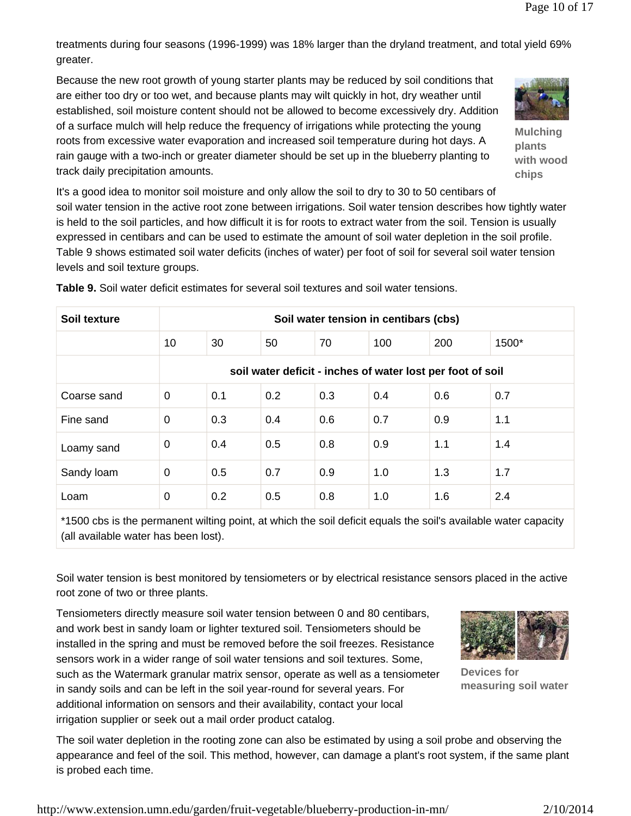treatments during four seasons (1996-1999) was 18% larger than the dryland treatment, and total yield 69% greater.

Because the new root growth of young starter plants may be reduced by soil conditions that are either too dry or too wet, and because plants may wilt quickly in hot, dry weather until established, soil moisture content should not be allowed to become excessively dry. Addition of a surface mulch will help reduce the frequency of irrigations while protecting the young roots from excessive water evaporation and increased soil temperature during hot days. A rain gauge with a two-inch or greater diameter should be set up in the blueberry planting to track daily precipitation amounts.



**Mulching plants with wood chips**

It's a good idea to monitor soil moisture and only allow the soil to dry to 30 to 50 centibars of soil water tension in the active root zone between irrigations. Soil water tension describes how tightly water is held to the soil particles, and how difficult it is for roots to extract water from the soil. Tension is usually expressed in centibars and can be used to estimate the amount of soil water depletion in the soil profile. Table 9 shows estimated soil water deficits (inches of water) per foot of soil for several soil water tension levels and soil texture groups.

| Soil texture | Soil water tension in centibars (cbs)                      |     |     |     |     |     |       |
|--------------|------------------------------------------------------------|-----|-----|-----|-----|-----|-------|
|              |                                                            |     |     |     |     |     |       |
|              | 10                                                         | 30  | 50  | 70  | 100 | 200 | 1500* |
|              | soil water deficit - inches of water lost per foot of soil |     |     |     |     |     |       |
| Coarse sand  | 0                                                          | 0.1 | 0.2 | 0.3 | 0.4 | 0.6 | 0.7   |
| Fine sand    | $\mathbf 0$                                                | 0.3 | 0.4 | 0.6 | 0.7 | 0.9 | 1.1   |
| Loamy sand   | 0                                                          | 0.4 | 0.5 | 0.8 | 0.9 | 1.1 | 1.4   |
| Sandy loam   | $\mathbf{0}$                                               | 0.5 | 0.7 | 0.9 | 1.0 | 1.3 | 1.7   |
| Loam         | 0                                                          | 0.2 | 0.5 | 0.8 | 1.0 | 1.6 | 2.4   |

**Table 9.** Soil water deficit estimates for several soil textures and soil water tensions.

\*1500 cbs is the permanent wilting point, at which the soil deficit equals the soil's available water capacity (all available water has been lost).

Soil water tension is best monitored by tensiometers or by electrical resistance sensors placed in the active root zone of two or three plants.

Tensiometers directly measure soil water tension between 0 and 80 centibars, and work best in sandy loam or lighter textured soil. Tensiometers should be installed in the spring and must be removed before the soil freezes. Resistance sensors work in a wider range of soil water tensions and soil textures. Some, such as the Watermark granular matrix sensor, operate as well as a tensiometer in sandy soils and can be left in the soil year-round for several years. For additional information on sensors and their availability, contact your local irrigation supplier or seek out a mail order product catalog.



**Devices for measuring soil water**

The soil water depletion in the rooting zone can also be estimated by using a soil probe and observing the appearance and feel of the soil. This method, however, can damage a plant's root system, if the same plant is probed each time.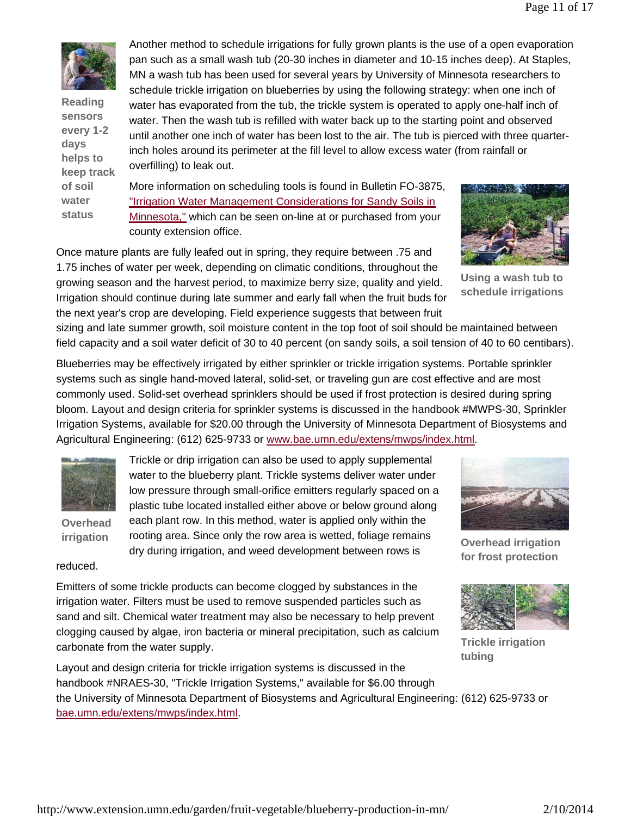

**Reading sensors every 1-2 days helps to keep track of soil water status**

Another method to schedule irrigations for fully grown plants is the use of a open evaporation pan such as a small wash tub (20-30 inches in diameter and 10-15 inches deep). At Staples, MN a wash tub has been used for several years by University of Minnesota researchers to schedule trickle irrigation on blueberries by using the following strategy: when one inch of water has evaporated from the tub, the trickle system is operated to apply one-half inch of water. Then the wash tub is refilled with water back up to the starting point and observed until another one inch of water has been lost to the air. The tub is pierced with three quarterinch holes around its perimeter at the fill level to allow excess water (from rainfall or overfilling) to leak out.

More information on scheduling tools is found in Bulletin FO-3875, "Irrigation Water Management Considerations for Sandy Soils in Minnesota," which can be seen on-line at or purchased from your county extension office.

Once mature plants are fully leafed out in spring, they require between .75 and 1.75 inches of water per week, depending on climatic conditions, throughout the growing season and the harvest period, to maximize berry size, quality and yield. Irrigation should continue during late summer and early fall when the fruit buds for the next year's crop are developing. Field experience suggests that between fruit



**Using a wash tub to schedule irrigations**

sizing and late summer growth, soil moisture content in the top foot of soil should be maintained between field capacity and a soil water deficit of 30 to 40 percent (on sandy soils, a soil tension of 40 to 60 centibars).

Blueberries may be effectively irrigated by either sprinkler or trickle irrigation systems. Portable sprinkler systems such as single hand-moved lateral, solid-set, or traveling gun are cost effective and are most commonly used. Solid-set overhead sprinklers should be used if frost protection is desired during spring bloom. Layout and design criteria for sprinkler systems is discussed in the handbook #MWPS-30, Sprinkler Irrigation Systems, available for \$20.00 through the University of Minnesota Department of Biosystems and Agricultural Engineering: (612) 625-9733 or www.bae.umn.edu/extens/mwps/index.html.



**Overhead** 

**irrigation rooting area.** Since only the row area is wetted, foliage remains **Overhead irrigation** Trickle or drip irrigation can also be used to apply supplemental water to the blueberry plant. Trickle systems deliver water under low pressure through small-orifice emitters regularly spaced on a plastic tube located installed either above or below ground along each plant row. In this method, water is applied only within the dry during irrigation, and weed development between rows is



**for frost protection**

reduced.

Emitters of some trickle products can become clogged by substances in the irrigation water. Filters must be used to remove suspended particles such as sand and silt. Chemical water treatment may also be necessary to help prevent clogging caused by algae, iron bacteria or mineral precipitation, such as calcium carbonate from the water supply.



**Trickle irrigation tubing**

Layout and design criteria for trickle irrigation systems is discussed in the handbook #NRAES-30, "Trickle Irrigation Systems," available for \$6.00 through the University of Minnesota Department of Biosystems and Agricultural Engineering: (612) 625-9733 or bae.umn.edu/extens/mwps/index.html.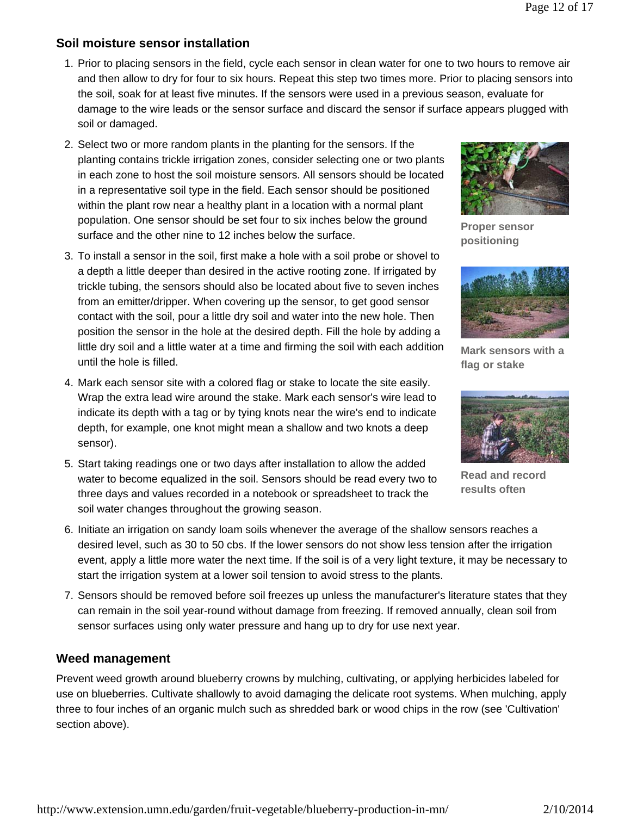## **Soil moisture sensor installation**

- 1. Prior to placing sensors in the field, cycle each sensor in clean water for one to two hours to remove air and then allow to dry for four to six hours. Repeat this step two times more. Prior to placing sensors into the soil, soak for at least five minutes. If the sensors were used in a previous season, evaluate for damage to the wire leads or the sensor surface and discard the sensor if surface appears plugged with soil or damaged.
- 2. Select two or more random plants in the planting for the sensors. If the planting contains trickle irrigation zones, consider selecting one or two plants in each zone to host the soil moisture sensors. All sensors should be located in a representative soil type in the field. Each sensor should be positioned within the plant row near a healthy plant in a location with a normal plant population. One sensor should be set four to six inches below the ground surface and the other nine to 12 inches below the surface.
- 3. To install a sensor in the soil, first make a hole with a soil probe or shovel to a depth a little deeper than desired in the active rooting zone. If irrigated by trickle tubing, the sensors should also be located about five to seven inches from an emitter/dripper. When covering up the sensor, to get good sensor contact with the soil, pour a little dry soil and water into the new hole. Then position the sensor in the hole at the desired depth. Fill the hole by adding a little dry soil and a little water at a time and firming the soil with each addition until the hole is filled.
- 4. Mark each sensor site with a colored flag or stake to locate the site easily. Wrap the extra lead wire around the stake. Mark each sensor's wire lead to indicate its depth with a tag or by tying knots near the wire's end to indicate depth, for example, one knot might mean a shallow and two knots a deep sensor).
- 5. Start taking readings one or two days after installation to allow the added water to become equalized in the soil. Sensors should be read every two to three days and values recorded in a notebook or spreadsheet to track the soil water changes throughout the growing season.



**Proper sensor positioning**



**Mark sensors with a flag or stake**



**Read and record results often**

- 6. Initiate an irrigation on sandy loam soils whenever the average of the shallow sensors reaches a desired level, such as 30 to 50 cbs. If the lower sensors do not show less tension after the irrigation event, apply a little more water the next time. If the soil is of a very light texture, it may be necessary to start the irrigation system at a lower soil tension to avoid stress to the plants.
- 7. Sensors should be removed before soil freezes up unless the manufacturer's literature states that they can remain in the soil year-round without damage from freezing. If removed annually, clean soil from sensor surfaces using only water pressure and hang up to dry for use next year.

### **Weed management**

Prevent weed growth around blueberry crowns by mulching, cultivating, or applying herbicides labeled for use on blueberries. Cultivate shallowly to avoid damaging the delicate root systems. When mulching, apply three to four inches of an organic mulch such as shredded bark or wood chips in the row (see 'Cultivation' section above).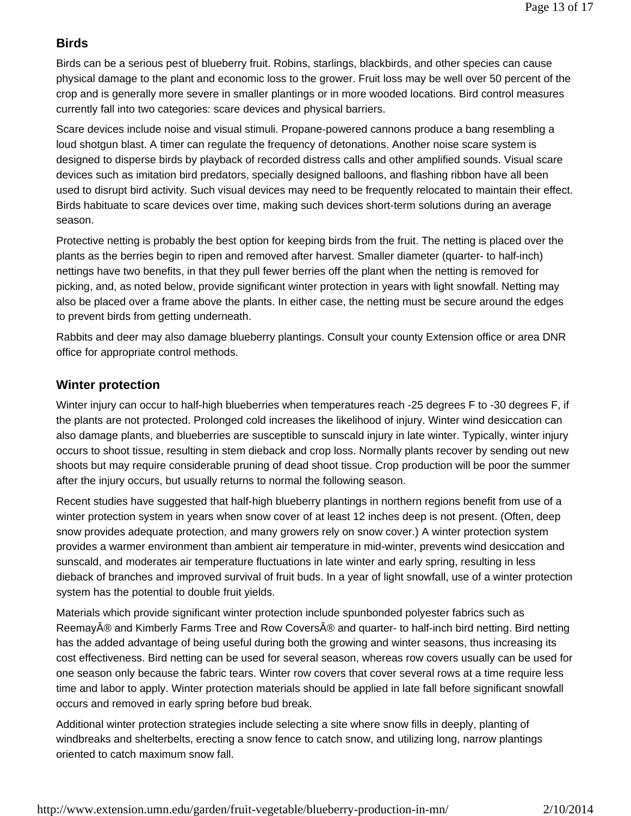### **Birds**

Birds can be a serious pest of blueberry fruit. Robins, starlings, blackbirds, and other species can cause physical damage to the plant and economic loss to the grower. Fruit loss may be well over 50 percent of the crop and is generally more severe in smaller plantings or in more wooded locations. Bird control measures currently fall into two categories: scare devices and physical barriers.

Scare devices include noise and visual stimuli. Propane-powered cannons produce a bang resembling a loud shotgun blast. A timer can regulate the frequency of detonations. Another noise scare system is designed to disperse birds by playback of recorded distress calls and other amplified sounds. Visual scare devices such as imitation bird predators, specially designed balloons, and flashing ribbon have all been used to disrupt bird activity. Such visual devices may need to be frequently relocated to maintain their effect. Birds habituate to scare devices over time, making such devices short-term solutions during an average season.

Protective netting is probably the best option for keeping birds from the fruit. The netting is placed over the plants as the berries begin to ripen and removed after harvest. Smaller diameter (quarter- to half-inch) nettings have two benefits, in that they pull fewer berries off the plant when the netting is removed for picking, and, as noted below, provide significant winter protection in years with light snowfall. Netting may also be placed over a frame above the plants. In either case, the netting must be secure around the edges to prevent birds from getting underneath.

Rabbits and deer may also damage blueberry plantings. Consult your county Extension office or area DNR office for appropriate control methods.

### **Winter protection**

Winter injury can occur to half-high blueberries when temperatures reach -25 degrees F to -30 degrees F, if the plants are not protected. Prolonged cold increases the likelihood of injury. Winter wind desiccation can also damage plants, and blueberries are susceptible to sunscald injury in late winter. Typically, winter injury occurs to shoot tissue, resulting in stem dieback and crop loss. Normally plants recover by sending out new shoots but may require considerable pruning of dead shoot tissue. Crop production will be poor the summer after the injury occurs, but usually returns to normal the following season.

Recent studies have suggested that half-high blueberry plantings in northern regions benefit from use of a winter protection system in years when snow cover of at least 12 inches deep is not present. (Often, deep snow provides adequate protection, and many growers rely on snow cover.) A winter protection system provides a warmer environment than ambient air temperature in mid-winter, prevents wind desiccation and sunscald, and moderates air temperature fluctuations in late winter and early spring, resulting in less dieback of branches and improved survival of fruit buds. In a year of light snowfall, use of a winter protection system has the potential to double fruit yields.

Materials which provide significant winter protection include spunbonded polyester fabrics such as Reemay® and Kimberly Farms Tree and Row Covers® and quarter- to half-inch bird netting. Bird netting has the added advantage of being useful during both the growing and winter seasons, thus increasing its cost effectiveness. Bird netting can be used for several season, whereas row covers usually can be used for one season only because the fabric tears. Winter row covers that cover several rows at a time require less time and labor to apply. Winter protection materials should be applied in late fall before significant snowfall occurs and removed in early spring before bud break.

Additional winter protection strategies include selecting a site where snow fills in deeply, planting of windbreaks and shelterbelts, erecting a snow fence to catch snow, and utilizing long, narrow plantings oriented to catch maximum snow fall.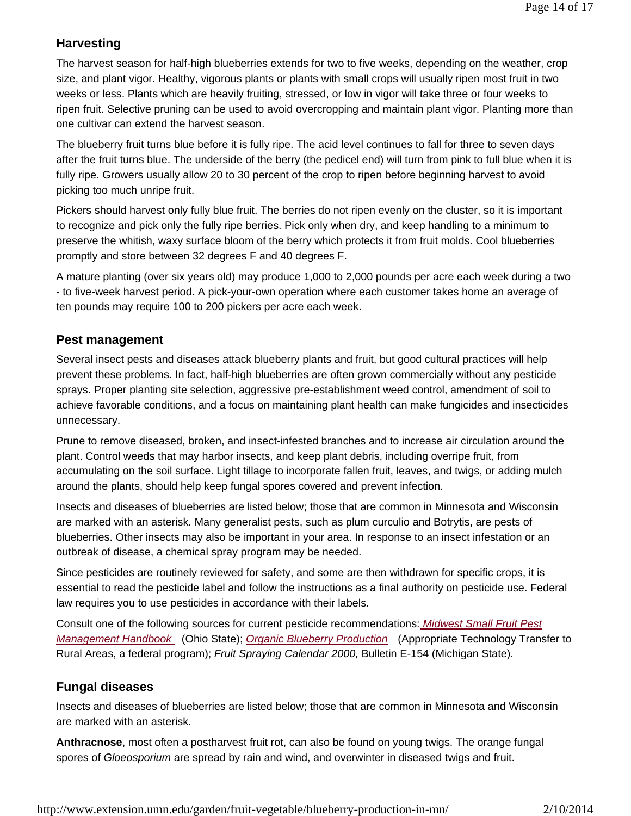### **Harvesting**

The harvest season for half-high blueberries extends for two to five weeks, depending on the weather, crop size, and plant vigor. Healthy, vigorous plants or plants with small crops will usually ripen most fruit in two weeks or less. Plants which are heavily fruiting, stressed, or low in vigor will take three or four weeks to ripen fruit. Selective pruning can be used to avoid overcropping and maintain plant vigor. Planting more than one cultivar can extend the harvest season.

The blueberry fruit turns blue before it is fully ripe. The acid level continues to fall for three to seven days after the fruit turns blue. The underside of the berry (the pedicel end) will turn from pink to full blue when it is fully ripe. Growers usually allow 20 to 30 percent of the crop to ripen before beginning harvest to avoid picking too much unripe fruit.

Pickers should harvest only fully blue fruit. The berries do not ripen evenly on the cluster, so it is important to recognize and pick only the fully ripe berries. Pick only when dry, and keep handling to a minimum to preserve the whitish, waxy surface bloom of the berry which protects it from fruit molds. Cool blueberries promptly and store between 32 degrees F and 40 degrees F.

A mature planting (over six years old) may produce 1,000 to 2,000 pounds per acre each week during a two - to five-week harvest period. A pick-your-own operation where each customer takes home an average of ten pounds may require 100 to 200 pickers per acre each week.

### **Pest management**

Several insect pests and diseases attack blueberry plants and fruit, but good cultural practices will help prevent these problems. In fact, half-high blueberries are often grown commercially without any pesticide sprays. Proper planting site selection, aggressive pre-establishment weed control, amendment of soil to achieve favorable conditions, and a focus on maintaining plant health can make fungicides and insecticides unnecessary.

Prune to remove diseased, broken, and insect-infested branches and to increase air circulation around the plant. Control weeds that may harbor insects, and keep plant debris, including overripe fruit, from accumulating on the soil surface. Light tillage to incorporate fallen fruit, leaves, and twigs, or adding mulch around the plants, should help keep fungal spores covered and prevent infection.

Insects and diseases of blueberries are listed below; those that are common in Minnesota and Wisconsin are marked with an asterisk. Many generalist pests, such as plum curculio and Botrytis, are pests of blueberries. Other insects may also be important in your area. In response to an insect infestation or an outbreak of disease, a chemical spray program may be needed.

Since pesticides are routinely reviewed for safety, and some are then withdrawn for specific crops, it is essential to read the pesticide label and follow the instructions as a final authority on pesticide use. Federal law requires you to use pesticides in accordance with their labels.

Consult one of the following sources for current pesticide recommendations: *Midwest Small Fruit Pest Management Handbook* (Ohio State); *Organic Blueberry Production* (Appropriate Technology Transfer to Rural Areas, a federal program); *Fruit Spraying Calendar 2000,* Bulletin E-154 (Michigan State).

### **Fungal diseases**

Insects and diseases of blueberries are listed below; those that are common in Minnesota and Wisconsin are marked with an asterisk.

**Anthracnose**, most often a postharvest fruit rot, can also be found on young twigs. The orange fungal spores of *Gloeosporium* are spread by rain and wind, and overwinter in diseased twigs and fruit.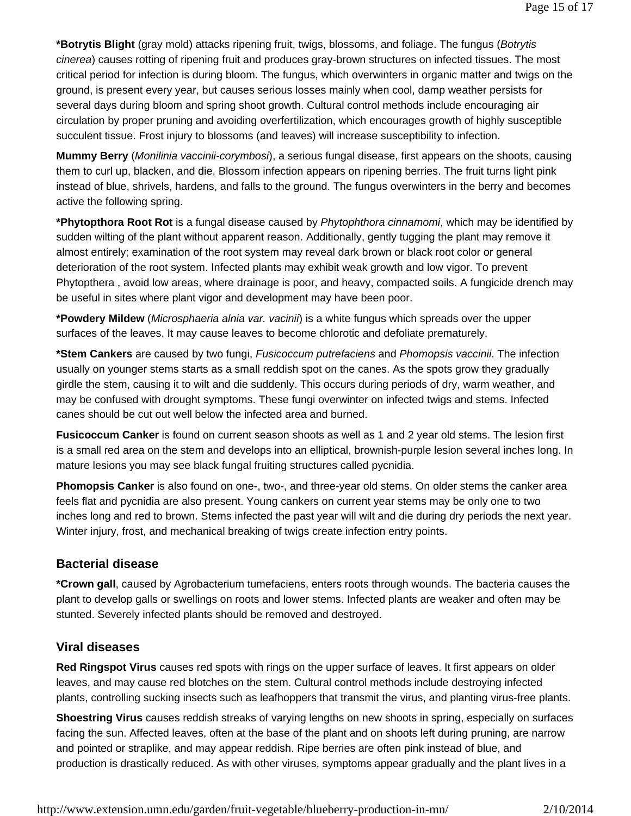**\*Botrytis Blight** (gray mold) attacks ripening fruit, twigs, blossoms, and foliage. The fungus (*Botrytis cinerea*) causes rotting of ripening fruit and produces gray-brown structures on infected tissues. The most critical period for infection is during bloom. The fungus, which overwinters in organic matter and twigs on the ground, is present every year, but causes serious losses mainly when cool, damp weather persists for several days during bloom and spring shoot growth. Cultural control methods include encouraging air circulation by proper pruning and avoiding overfertilization, which encourages growth of highly susceptible succulent tissue. Frost injury to blossoms (and leaves) will increase susceptibility to infection.

**Mummy Berry** (*Monilinia vaccinii-corymbosi*), a serious fungal disease, first appears on the shoots, causing them to curl up, blacken, and die. Blossom infection appears on ripening berries. The fruit turns light pink instead of blue, shrivels, hardens, and falls to the ground. The fungus overwinters in the berry and becomes active the following spring.

**\*Phytopthora Root Rot** is a fungal disease caused by *Phytophthora cinnamomi*, which may be identified by sudden wilting of the plant without apparent reason. Additionally, gently tugging the plant may remove it almost entirely; examination of the root system may reveal dark brown or black root color or general deterioration of the root system. Infected plants may exhibit weak growth and low vigor. To prevent Phytopthera , avoid low areas, where drainage is poor, and heavy, compacted soils. A fungicide drench may be useful in sites where plant vigor and development may have been poor.

**\*Powdery Mildew** (*Microsphaeria alnia var. vacinii*) is a white fungus which spreads over the upper surfaces of the leaves. It may cause leaves to become chlorotic and defoliate prematurely.

**\*Stem Cankers** are caused by two fungi, *Fusicoccum putrefaciens* and *Phomopsis vaccinii*. The infection usually on younger stems starts as a small reddish spot on the canes. As the spots grow they gradually girdle the stem, causing it to wilt and die suddenly. This occurs during periods of dry, warm weather, and may be confused with drought symptoms. These fungi overwinter on infected twigs and stems. Infected canes should be cut out well below the infected area and burned.

**Fusicoccum Canker** is found on current season shoots as well as 1 and 2 year old stems. The lesion first is a small red area on the stem and develops into an elliptical, brownish-purple lesion several inches long. In mature lesions you may see black fungal fruiting structures called pycnidia.

**Phomopsis Canker** is also found on one-, two-, and three-year old stems. On older stems the canker area feels flat and pycnidia are also present. Young cankers on current year stems may be only one to two inches long and red to brown. Stems infected the past year will wilt and die during dry periods the next year. Winter injury, frost, and mechanical breaking of twigs create infection entry points.

### **Bacterial disease**

**\*Crown gall**, caused by Agrobacterium tumefaciens, enters roots through wounds. The bacteria causes the plant to develop galls or swellings on roots and lower stems. Infected plants are weaker and often may be stunted. Severely infected plants should be removed and destroyed.

### **Viral diseases**

**Red Ringspot Virus** causes red spots with rings on the upper surface of leaves. It first appears on older leaves, and may cause red blotches on the stem. Cultural control methods include destroying infected plants, controlling sucking insects such as leafhoppers that transmit the virus, and planting virus-free plants.

**Shoestring Virus** causes reddish streaks of varying lengths on new shoots in spring, especially on surfaces facing the sun. Affected leaves, often at the base of the plant and on shoots left during pruning, are narrow and pointed or straplike, and may appear reddish. Ripe berries are often pink instead of blue, and production is drastically reduced. As with other viruses, symptoms appear gradually and the plant lives in a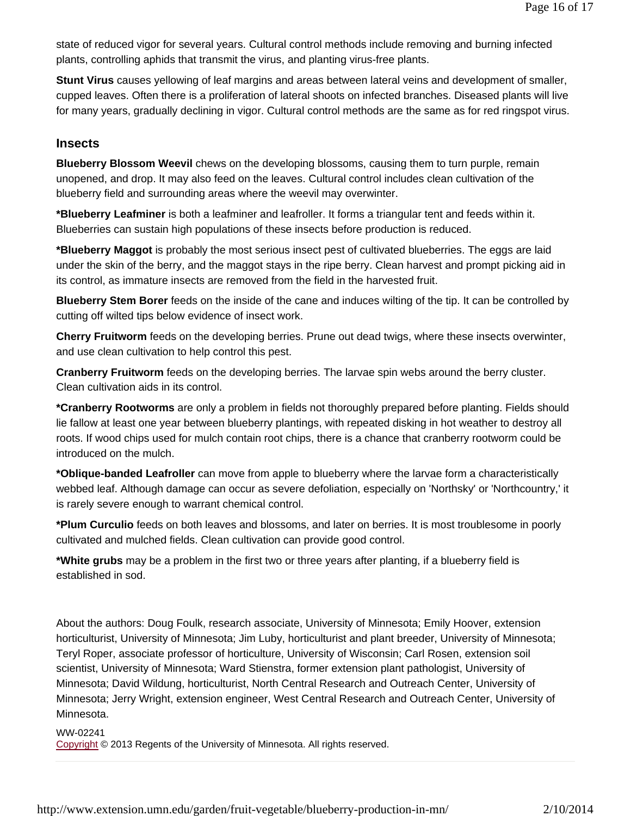state of reduced vigor for several years. Cultural control methods include removing and burning infected plants, controlling aphids that transmit the virus, and planting virus-free plants.

**Stunt Virus** causes yellowing of leaf margins and areas between lateral veins and development of smaller, cupped leaves. Often there is a proliferation of lateral shoots on infected branches. Diseased plants will live for many years, gradually declining in vigor. Cultural control methods are the same as for red ringspot virus.

### **Insects**

**Blueberry Blossom Weevil** chews on the developing blossoms, causing them to turn purple, remain unopened, and drop. It may also feed on the leaves. Cultural control includes clean cultivation of the blueberry field and surrounding areas where the weevil may overwinter.

**\*Blueberry Leafminer** is both a leafminer and leafroller. It forms a triangular tent and feeds within it. Blueberries can sustain high populations of these insects before production is reduced.

**\*Blueberry Maggot** is probably the most serious insect pest of cultivated blueberries. The eggs are laid under the skin of the berry, and the maggot stays in the ripe berry. Clean harvest and prompt picking aid in its control, as immature insects are removed from the field in the harvested fruit.

**Blueberry Stem Borer** feeds on the inside of the cane and induces wilting of the tip. It can be controlled by cutting off wilted tips below evidence of insect work.

**Cherry Fruitworm** feeds on the developing berries. Prune out dead twigs, where these insects overwinter, and use clean cultivation to help control this pest.

**Cranberry Fruitworm** feeds on the developing berries. The larvae spin webs around the berry cluster. Clean cultivation aids in its control.

**\*Cranberry Rootworms** are only a problem in fields not thoroughly prepared before planting. Fields should lie fallow at least one year between blueberry plantings, with repeated disking in hot weather to destroy all roots. If wood chips used for mulch contain root chips, there is a chance that cranberry rootworm could be introduced on the mulch.

**\*Oblique-banded Leafroller** can move from apple to blueberry where the larvae form a characteristically webbed leaf. Although damage can occur as severe defoliation, especially on 'Northsky' or 'Northcountry,' it is rarely severe enough to warrant chemical control.

**\*Plum Curculio** feeds on both leaves and blossoms, and later on berries. It is most troublesome in poorly cultivated and mulched fields. Clean cultivation can provide good control.

**\*White grubs** may be a problem in the first two or three years after planting, if a blueberry field is established in sod.

About the authors: Doug Foulk, research associate, University of Minnesota; Emily Hoover, extension horticulturist, University of Minnesota; Jim Luby, horticulturist and plant breeder, University of Minnesota; Teryl Roper, associate professor of horticulture, University of Wisconsin; Carl Rosen, extension soil scientist, University of Minnesota; Ward Stienstra, former extension plant pathologist, University of Minnesota; David Wildung, horticulturist, North Central Research and Outreach Center, University of Minnesota; Jerry Wright, extension engineer, West Central Research and Outreach Center, University of Minnesota.

#### WW-02241

Copyright © 2013 Regents of the University of Minnesota. All rights reserved.